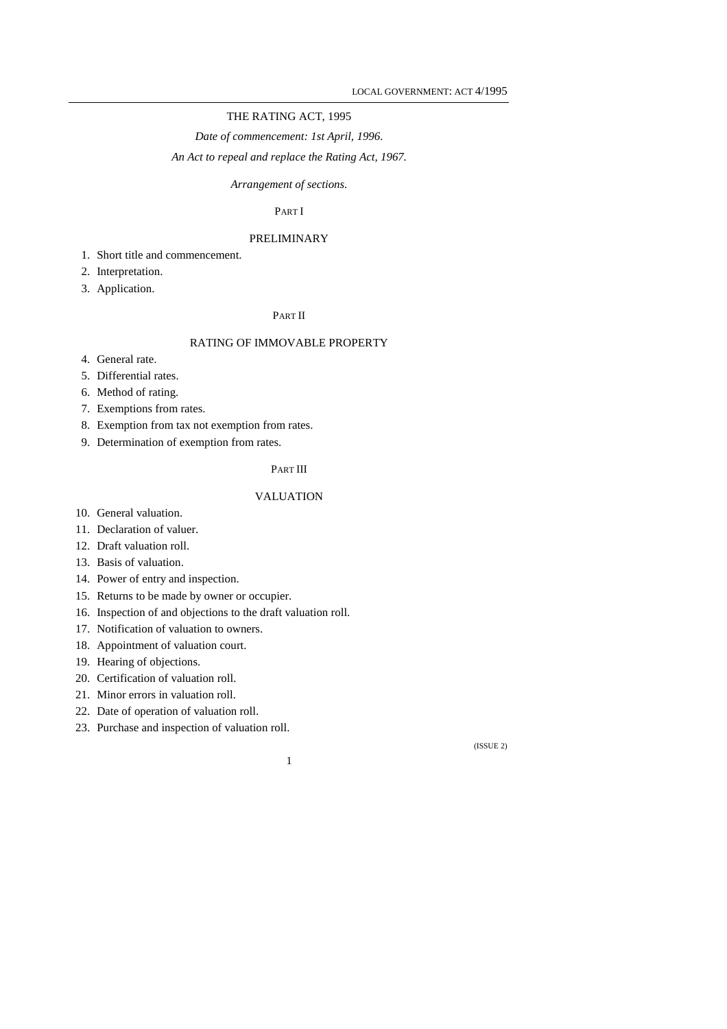# THE RATING ACT, 1995

*Date of commencement: 1st April, 1996.* 

*An Act to repeal and replace the Rating Act, 1967.* 

## *Arrangement of sections.*

# PART I

# PRELIMINARY

- 1. Short title and commencement.
- 2. Interpretation.
- 3. Application.

# PART II

# RATING OF IMMOVABLE PROPERTY

- 4. General rate.
- 5. Differential rates.
- 6. Method of rating.
- 7. Exemptions from rates.
- 8. Exemption from tax not exemption from rates.
- 9. Determination of exemption from rates.

# PART III

# VALUATION

- 10. General valuation.
- 11. Declaration of valuer.
- 12. Draft valuation roll.
- 13. Basis of valuation.
- 14. Power of entry and inspection.
- 15. Returns to be made by owner or occupier.
- 16. Inspection of and objections to the draft valuation roll.
- 17. Notification of valuation to owners.
- 18. Appointment of valuation court.
- 19. Hearing of objections.
- 20. Certification of valuation roll.
- 21. Minor errors in valuation roll.
- 22. Date of operation of valuation roll.
- 23. Purchase and inspection of valuation roll.

1

(ISSUE 2)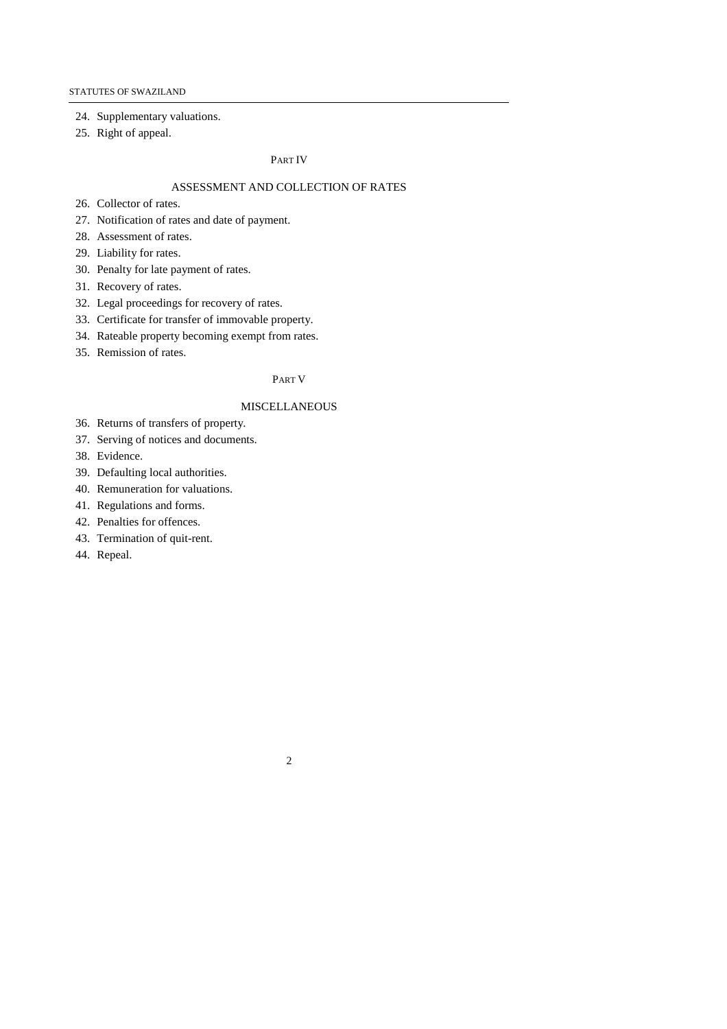24. Supplementary valuations.

25. Right of appeal.

#### PART IV

# ASSESSMENT AND COLLECTION OF RATES

- 26. Collector of rates.
- 27. Notification of rates and date of payment.
- 28. Assessment of rates.
- 29. Liability for rates.
- 30. Penalty for late payment of rates.
- 31. Recovery of rates.
- 32. Legal proceedings for recovery of rates.
- 33. Certificate for transfer of immovable property.
- 34. Rateable property becoming exempt from rates.
- 35. Remission of rates.

#### PART V

### MISCELLANEOUS

- 36. Returns of transfers of property.
- 37. Serving of notices and documents.
- 38. Evidence.
- 39. Defaulting local authorities.
- 40. Remuneration for valuations.
- 41. Regulations and forms.
- 42. Penalties for offences.
- 43. Termination of quit-rent.
- 44. Repeal.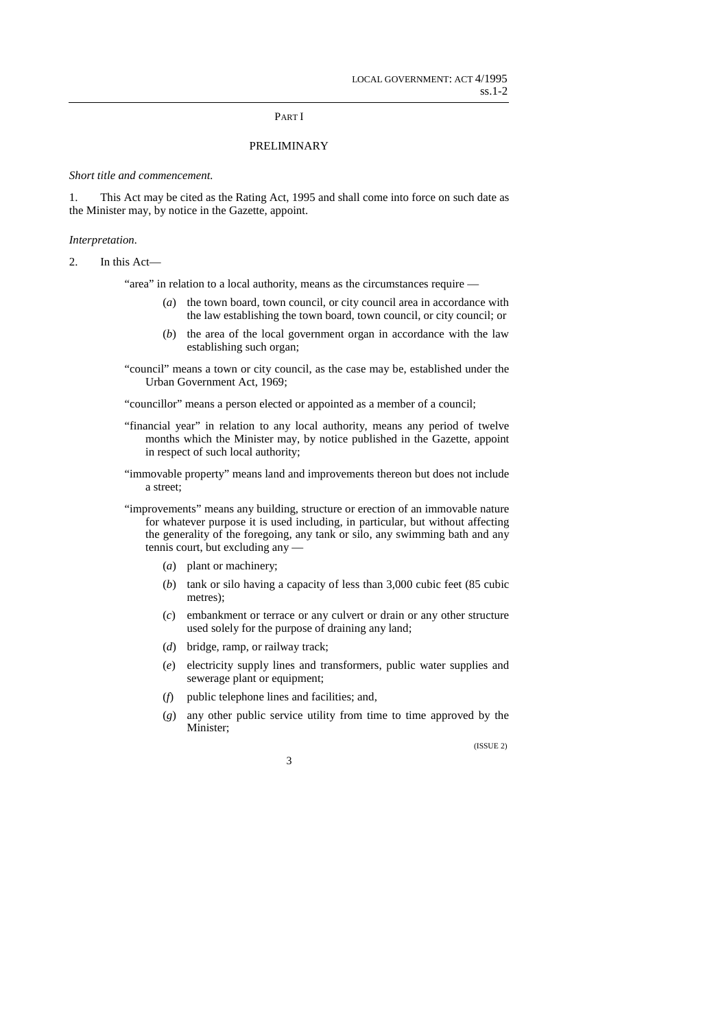### PART I

## PRELIMINARY

*Short title and commencement.* 

1. This Act may be cited as the Rating Act, 1995 and shall come into force on such date as the Minister may, by notice in the Gazette, appoint.

### *Interpretation.*

2. In this Act—

"area" in relation to a local authority, means as the circumstances require —

- (*a*) the town board, town council, or city council area in accordance with the law establishing the town board, town council, or city council; or
- (*b*) the area of the local government organ in accordance with the law establishing such organ;
- "council" means a town or city council, as the case may be, established under the Urban Government Act, 1969;

"councillor" means a person elected or appointed as a member of a council;

- "financial year" in relation to any local authority, means any period of twelve months which the Minister may, by notice published in the Gazette, appoint in respect of such local authority;
- "immovable property" means land and improvements thereon but does not include a street;
- "improvements" means any building, structure or erection of an immovable nature for whatever purpose it is used including, in particular, but without affecting the generality of the foregoing, any tank or silo, any swimming bath and any tennis court, but excluding any —
	- (*a*) plant or machinery;
	- (*b*) tank or silo having a capacity of less than 3,000 cubic feet (85 cubic metres);
	- (*c*) embankment or terrace or any culvert or drain or any other structure used solely for the purpose of draining any land;
	- (*d*) bridge, ramp, or railway track;
	- (*e*) electricity supply lines and transformers, public water supplies and sewerage plant or equipment;
	- (*f*) public telephone lines and facilities; and,
	- (*g*) any other public service utility from time to time approved by the Minister;

(ISSUE 2)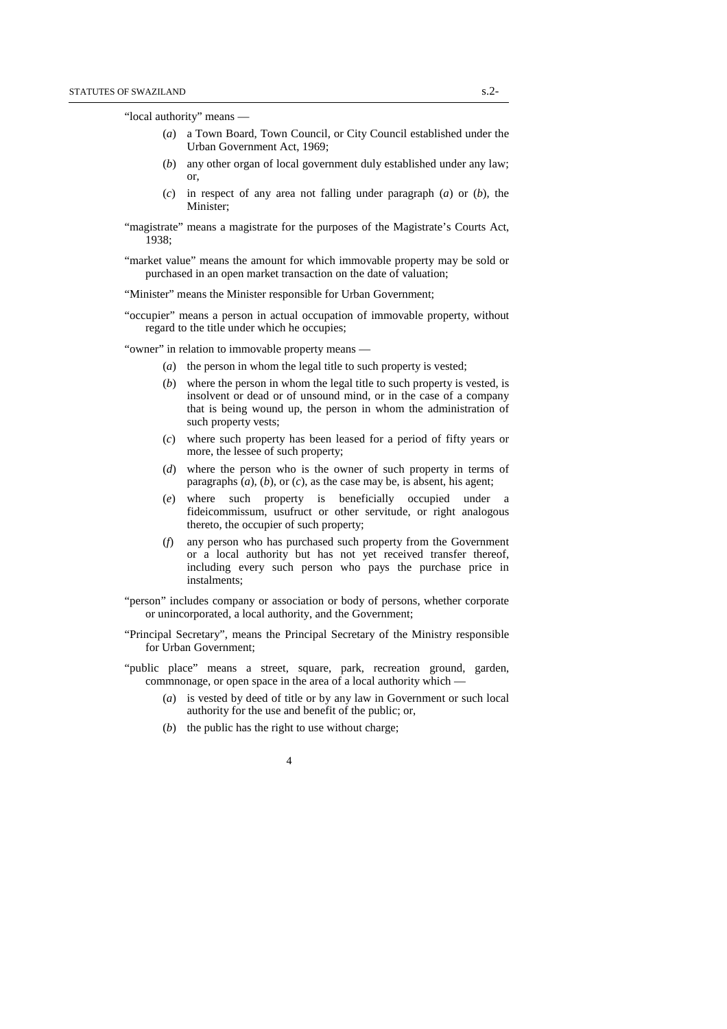"local authority" means —

- (*a*) a Town Board, Town Council, or City Council established under the Urban Government Act, 1969;
- (*b*) any other organ of local government duly established under any law; or,
- (*c*) in respect of any area not falling under paragraph (*a*) or (*b*), the Minister;
- "magistrate" means a magistrate for the purposes of the Magistrate's Courts Act, 1938;
- "market value" means the amount for which immovable property may be sold or purchased in an open market transaction on the date of valuation;

"Minister" means the Minister responsible for Urban Government;

"occupier" means a person in actual occupation of immovable property, without regard to the title under which he occupies;

"owner" in relation to immovable property means —

- (*a*) the person in whom the legal title to such property is vested;
- (*b*) where the person in whom the legal title to such property is vested, is insolvent or dead or of unsound mind, or in the case of a company that is being wound up, the person in whom the administration of such property vests;
- (*c*) where such property has been leased for a period of fifty years or more, the lessee of such property;
- (*d*) where the person who is the owner of such property in terms of paragraphs (*a*), (*b*), or (*c*), as the case may be, is absent, his agent;
- (*e*) where such property is beneficially occupied under a fideicommissum, usufruct or other servitude, or right analogous thereto, the occupier of such property;
- (*f*) any person who has purchased such property from the Government or a local authority but has not yet received transfer thereof, including every such person who pays the purchase price in instalments;
- "person" includes company or association or body of persons, whether corporate or unincorporated, a local authority, and the Government;
- "Principal Secretary", means the Principal Secretary of the Ministry responsible for Urban Government;
- "public place" means a street, square, park, recreation ground, garden, commnonage, or open space in the area of a local authority which —
	- (*a*) is vested by deed of title or by any law in Government or such local authority for the use and benefit of the public; or,
	- (*b*) the public has the right to use without charge;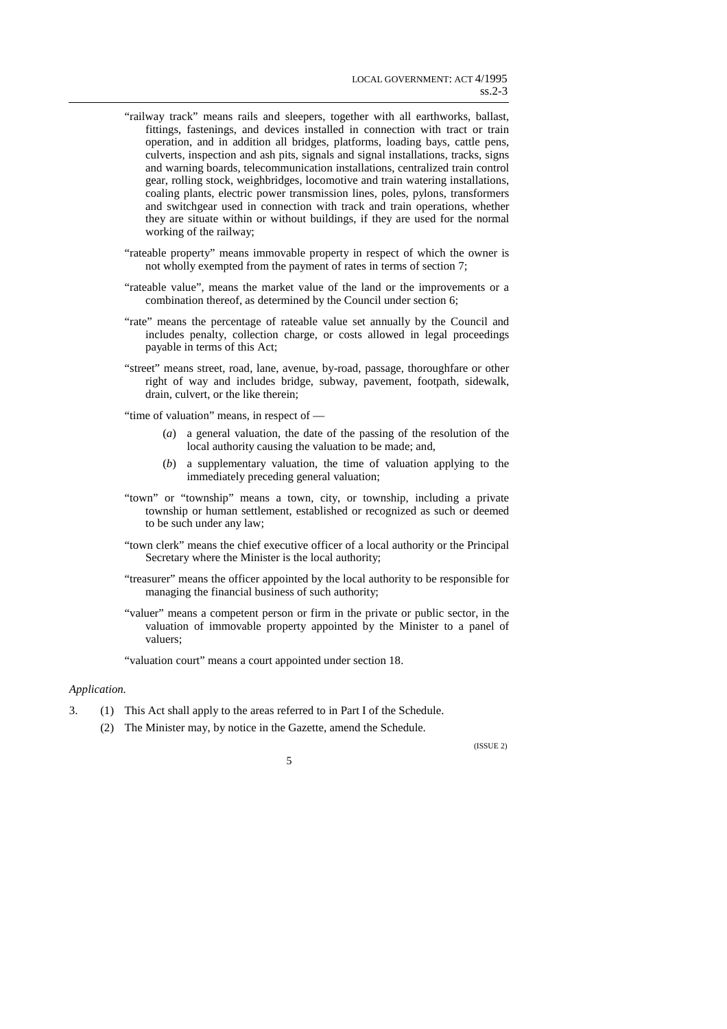- "railway track" means rails and sleepers, together with all earthworks, ballast, fittings, fastenings, and devices installed in connection with tract or train operation, and in addition all bridges, platforms, loading bays, cattle pens, culverts, inspection and ash pits, signals and signal installations, tracks, signs and warning boards, telecommunication installations, centralized train control gear, rolling stock, weighbridges, locomotive and train watering installations, coaling plants, electric power transmission lines, poles, pylons, transformers and switchgear used in connection with track and train operations, whether they are situate within or without buildings, if they are used for the normal working of the railway;
- "rateable property" means immovable property in respect of which the owner is not wholly exempted from the payment of rates in terms of section 7;
- "rateable value", means the market value of the land or the improvements or a combination thereof, as determined by the Council under section 6;
- "rate" means the percentage of rateable value set annually by the Council and includes penalty, collection charge, or costs allowed in legal proceedings payable in terms of this Act;
- "street" means street, road, lane, avenue, by-road, passage, thoroughfare or other right of way and includes bridge, subway, pavement, footpath, sidewalk, drain, culvert, or the like therein;

"time of valuation" means, in respect of —

- (*a*) a general valuation, the date of the passing of the resolution of the local authority causing the valuation to be made; and,
- (*b*) a supplementary valuation, the time of valuation applying to the immediately preceding general valuation;
- "town" or "township" means a town, city, or township, including a private township or human settlement, established or recognized as such or deemed to be such under any law;
- "town clerk" means the chief executive officer of a local authority or the Principal Secretary where the Minister is the local authority;
- "treasurer" means the officer appointed by the local authority to be responsible for managing the financial business of such authority;
- "valuer" means a competent person or firm in the private or public sector, in the valuation of immovable property appointed by the Minister to a panel of valuers;

"valuation court" means a court appointed under section 18.

# *Application.*

- 3. (1) This Act shall apply to the areas referred to in Part I of the Schedule.
	- (2) The Minister may, by notice in the Gazette, amend the Schedule.

(ISSUE 2)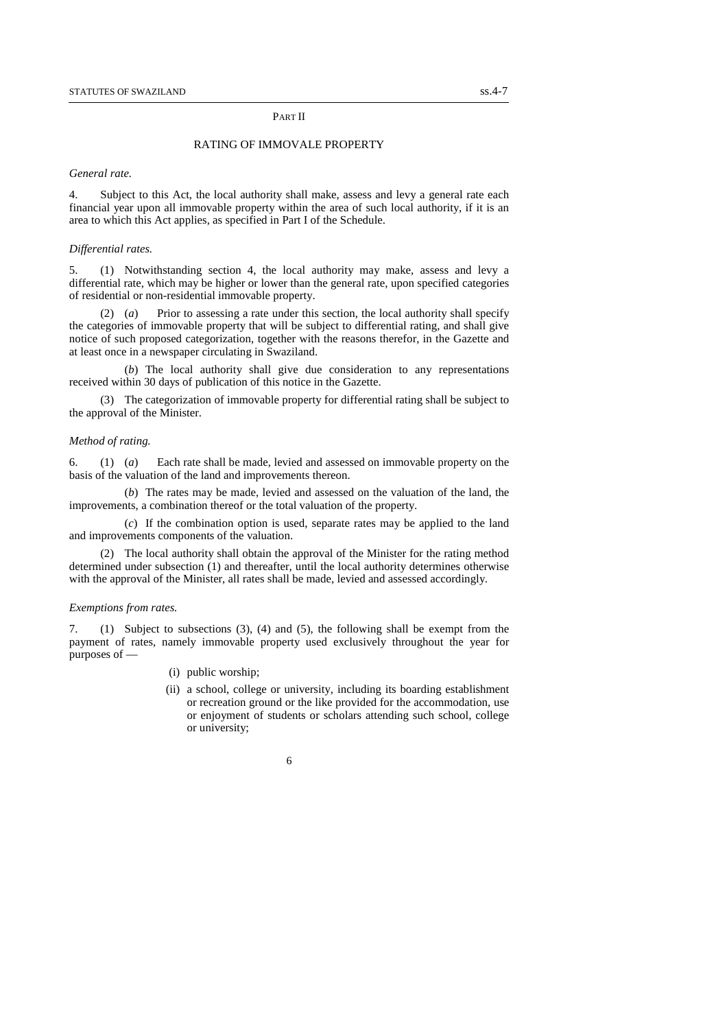### PART II

## RATING OF IMMOVALE PROPERTY

#### *General rate.*

4. Subject to this Act, the local authority shall make, assess and levy a general rate each financial year upon all immovable property within the area of such local authority, if it is an area to which this Act applies, as specified in Part I of the Schedule.

### *Differential rates.*

5. (1) Notwithstanding section 4, the local authority may make, assess and levy a differential rate, which may be higher or lower than the general rate, upon specified categories of residential or non-residential immovable property.

(2) (*a*) Prior to assessing a rate under this section, the local authority shall specify the categories of immovable property that will be subject to differential rating, and shall give notice of such proposed categorization, together with the reasons therefor, in the Gazette and at least once in a newspaper circulating in Swaziland.

(*b*) The local authority shall give due consideration to any representations received within 30 days of publication of this notice in the Gazette.

(3) The categorization of immovable property for differential rating shall be subject to the approval of the Minister.

#### *Method of rating.*

6. (1) (*a*) Each rate shall be made, levied and assessed on immovable property on the basis of the valuation of the land and improvements thereon.

(*b*) The rates may be made, levied and assessed on the valuation of the land, the improvements, a combination thereof or the total valuation of the property.

(*c*) If the combination option is used, separate rates may be applied to the land and improvements components of the valuation.

(2) The local authority shall obtain the approval of the Minister for the rating method determined under subsection (1) and thereafter, until the local authority determines otherwise with the approval of the Minister, all rates shall be made, levied and assessed accordingly.

#### *Exemptions from rates.*

7. (1) Subject to subsections (3), (4) and (5), the following shall be exempt from the payment of rates, namely immovable property used exclusively throughout the year for purposes of —

- (i) public worship;
- (ii) a school, college or university, including its boarding establishment or recreation ground or the like provided for the accommodation, use or enjoyment of students or scholars attending such school, college or university;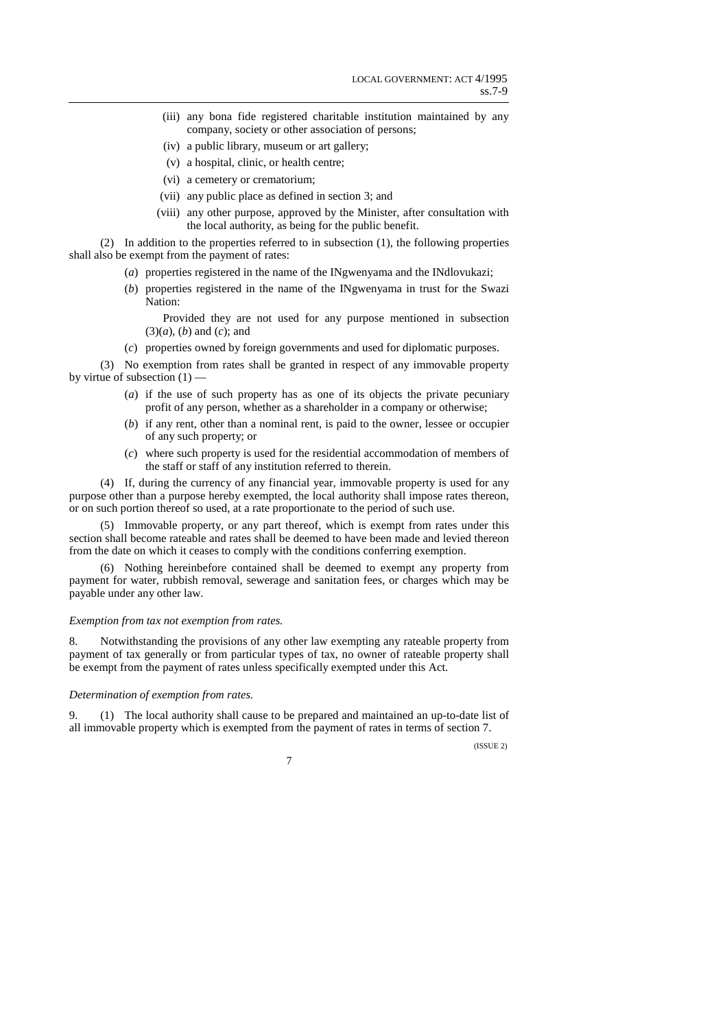- (iii) any bona fide registered charitable institution maintained by any company, society or other association of persons;
- (iv) a public library, museum or art gallery;
- (v) a hospital, clinic, or health centre;
- (vi) a cemetery or crematorium;
- (vii) any public place as defined in section 3; and
- (viii) any other purpose, approved by the Minister, after consultation with the local authority, as being for the public benefit.

(2) In addition to the properties referred to in subsection (1), the following properties shall also be exempt from the payment of rates:

- (*a*) properties registered in the name of the INgwenyama and the INdlovukazi;
- (*b*) properties registered in the name of the INgwenyama in trust for the Swazi Nation:

 Provided they are not used for any purpose mentioned in subsection (3)(*a*), (*b*) and (*c*); and

(*c*) properties owned by foreign governments and used for diplomatic purposes.

(3) No exemption from rates shall be granted in respect of any immovable property by virtue of subsection  $(1)$  —

- (*a*) if the use of such property has as one of its objects the private pecuniary profit of any person, whether as a shareholder in a company or otherwise;
- (*b*) if any rent, other than a nominal rent, is paid to the owner, lessee or occupier of any such property; or
- (*c*) where such property is used for the residential accommodation of members of the staff or staff of any institution referred to therein.

(4) If, during the currency of any financial year, immovable property is used for any purpose other than a purpose hereby exempted, the local authority shall impose rates thereon, or on such portion thereof so used, at a rate proportionate to the period of such use.

(5) Immovable property, or any part thereof, which is exempt from rates under this section shall become rateable and rates shall be deemed to have been made and levied thereon from the date on which it ceases to comply with the conditions conferring exemption.

(6) Nothing hereinbefore contained shall be deemed to exempt any property from payment for water, rubbish removal, sewerage and sanitation fees, or charges which may be payable under any other law.

#### *Exemption from tax not exemption from rates.*

8. Notwithstanding the provisions of any other law exempting any rateable property from payment of tax generally or from particular types of tax, no owner of rateable property shall be exempt from the payment of rates unless specifically exempted under this Act.

### *Determination of exemption from rates.*

9. (1) The local authority shall cause to be prepared and maintained an up-to-date list of all immovable property which is exempted from the payment of rates in terms of section 7.

(ISSUE 2)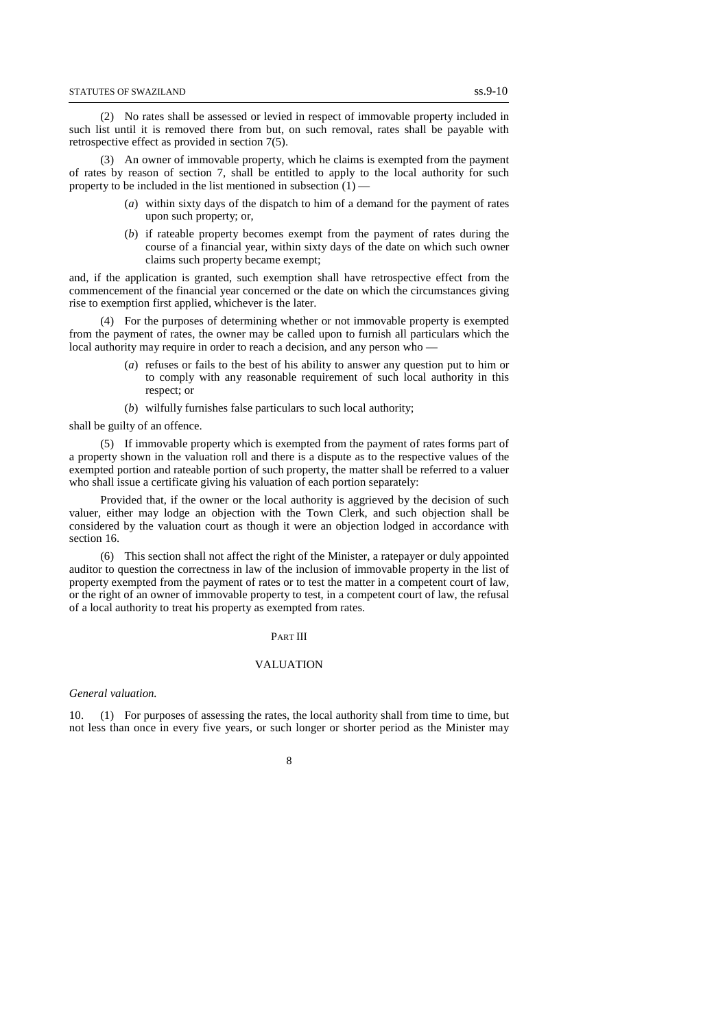(2) No rates shall be assessed or levied in respect of immovable property included in such list until it is removed there from but, on such removal, rates shall be payable with retrospective effect as provided in section 7(5).

(3) An owner of immovable property, which he claims is exempted from the payment of rates by reason of section 7, shall be entitled to apply to the local authority for such property to be included in the list mentioned in subsection  $(1)$ 

- (*a*) within sixty days of the dispatch to him of a demand for the payment of rates upon such property; or,
- (*b*) if rateable property becomes exempt from the payment of rates during the course of a financial year, within sixty days of the date on which such owner claims such property became exempt;

and, if the application is granted, such exemption shall have retrospective effect from the commencement of the financial year concerned or the date on which the circumstances giving rise to exemption first applied, whichever is the later.

(4) For the purposes of determining whether or not immovable property is exempted from the payment of rates, the owner may be called upon to furnish all particulars which the local authority may require in order to reach a decision, and any person who —

- (*a*) refuses or fails to the best of his ability to answer any question put to him or to comply with any reasonable requirement of such local authority in this respect; or
- (*b*) wilfully furnishes false particulars to such local authority;

#### shall be guilty of an offence.

(5) If immovable property which is exempted from the payment of rates forms part of a property shown in the valuation roll and there is a dispute as to the respective values of the exempted portion and rateable portion of such property, the matter shall be referred to a valuer who shall issue a certificate giving his valuation of each portion separately:

Provided that, if the owner or the local authority is aggrieved by the decision of such valuer, either may lodge an objection with the Town Clerk, and such objection shall be considered by the valuation court as though it were an objection lodged in accordance with section 16.

(6) This section shall not affect the right of the Minister, a ratepayer or duly appointed auditor to question the correctness in law of the inclusion of immovable property in the list of property exempted from the payment of rates or to test the matter in a competent court of law, or the right of an owner of immovable property to test, in a competent court of law, the refusal of a local authority to treat his property as exempted from rates.

#### PART III

## VALUATION

#### *General valuation.*

10. (1) For purposes of assessing the rates, the local authority shall from time to time, but not less than once in every five years, or such longer or shorter period as the Minister may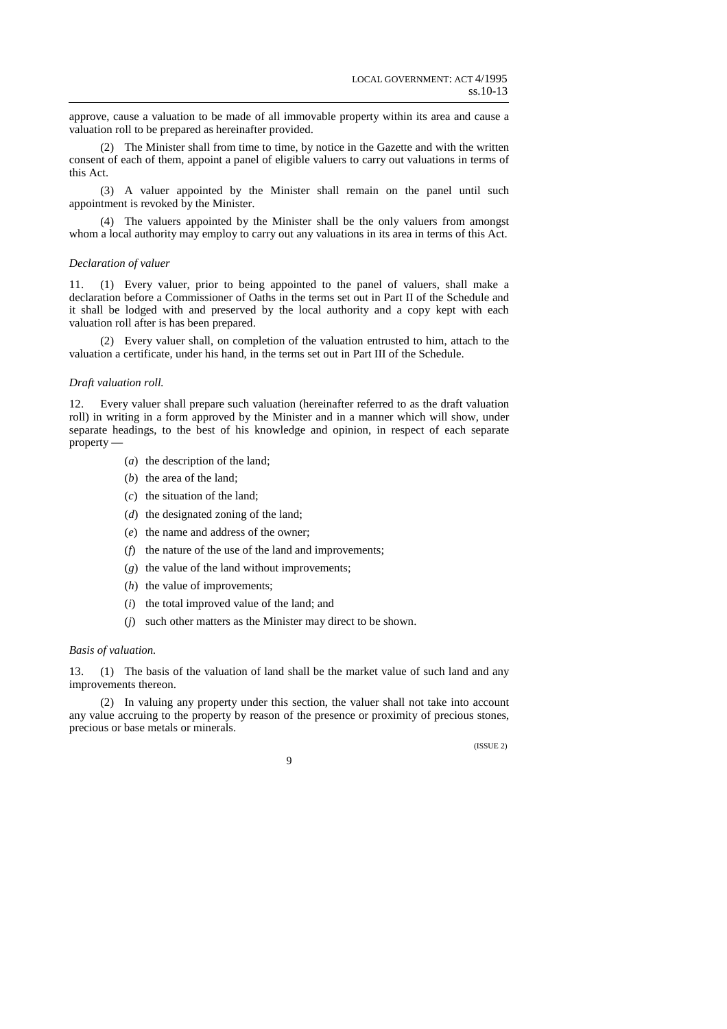approve, cause a valuation to be made of all immovable property within its area and cause a valuation roll to be prepared as hereinafter provided.

(2) The Minister shall from time to time, by notice in the Gazette and with the written consent of each of them, appoint a panel of eligible valuers to carry out valuations in terms of this Act.

(3) A valuer appointed by the Minister shall remain on the panel until such appointment is revoked by the Minister.

(4) The valuers appointed by the Minister shall be the only valuers from amongst whom a local authority may employ to carry out any valuations in its area in terms of this Act.

#### *Declaration of valuer*

11. (1) Every valuer, prior to being appointed to the panel of valuers, shall make a declaration before a Commissioner of Oaths in the terms set out in Part II of the Schedule and it shall be lodged with and preserved by the local authority and a copy kept with each valuation roll after is has been prepared.

(2) Every valuer shall, on completion of the valuation entrusted to him, attach to the valuation a certificate, under his hand, in the terms set out in Part III of the Schedule.

#### *Draft valuation roll.*

12. Every valuer shall prepare such valuation (hereinafter referred to as the draft valuation roll) in writing in a form approved by the Minister and in a manner which will show, under separate headings, to the best of his knowledge and opinion, in respect of each separate property —

- (*a*) the description of the land;
- (*b*) the area of the land;
- (*c*) the situation of the land;
- (*d*) the designated zoning of the land;
- (*e*) the name and address of the owner;
- (*f*) the nature of the use of the land and improvements;
- (*g*) the value of the land without improvements;
- (*h*) the value of improvements;
- (*i*) the total improved value of the land; and
- (*j*) such other matters as the Minister may direct to be shown.

### *Basis of valuation.*

13. (1) The basis of the valuation of land shall be the market value of such land and any improvements thereon.

(2) In valuing any property under this section, the valuer shall not take into account any value accruing to the property by reason of the presence or proximity of precious stones, precious or base metals or minerals.

(ISSUE 2)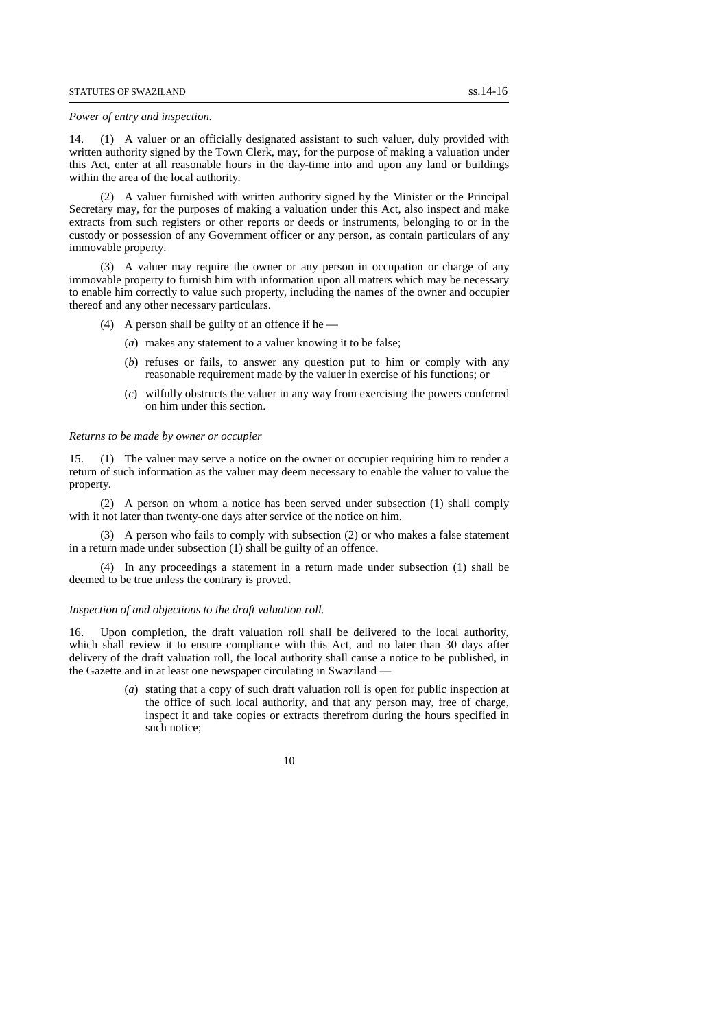#### *Power of entry and inspection.*

14. (1) A valuer or an officially designated assistant to such valuer, duly provided with written authority signed by the Town Clerk, may, for the purpose of making a valuation under this Act, enter at all reasonable hours in the day-time into and upon any land or buildings within the area of the local authority.

(2) A valuer furnished with written authority signed by the Minister or the Principal Secretary may, for the purposes of making a valuation under this Act, also inspect and make extracts from such registers or other reports or deeds or instruments, belonging to or in the custody or possession of any Government officer or any person, as contain particulars of any immovable property.

(3) A valuer may require the owner or any person in occupation or charge of any immovable property to furnish him with information upon all matters which may be necessary to enable him correctly to value such property, including the names of the owner and occupier thereof and any other necessary particulars.

- (4) A person shall be guilty of an offence if he
	- (*a*) makes any statement to a valuer knowing it to be false;
	- (*b*) refuses or fails, to answer any question put to him or comply with any reasonable requirement made by the valuer in exercise of his functions; or
	- (*c*) wilfully obstructs the valuer in any way from exercising the powers conferred on him under this section.

#### *Returns to be made by owner or occupier*

15. (1) The valuer may serve a notice on the owner or occupier requiring him to render a return of such information as the valuer may deem necessary to enable the valuer to value the property.

(2) A person on whom a notice has been served under subsection (1) shall comply with it not later than twenty-one days after service of the notice on him.

(3) A person who fails to comply with subsection (2) or who makes a false statement in a return made under subsection (1) shall be guilty of an offence.

(4) In any proceedings a statement in a return made under subsection (1) shall be deemed to be true unless the contrary is proved.

#### *Inspection of and objections to the draft valuation roll.*

16. Upon completion, the draft valuation roll shall be delivered to the local authority, which shall review it to ensure compliance with this Act, and no later than 30 days after delivery of the draft valuation roll, the local authority shall cause a notice to be published, in the Gazette and in at least one newspaper circulating in Swaziland —

> (*a*) stating that a copy of such draft valuation roll is open for public inspection at the office of such local authority, and that any person may, free of charge, inspect it and take copies or extracts therefrom during the hours specified in such notice;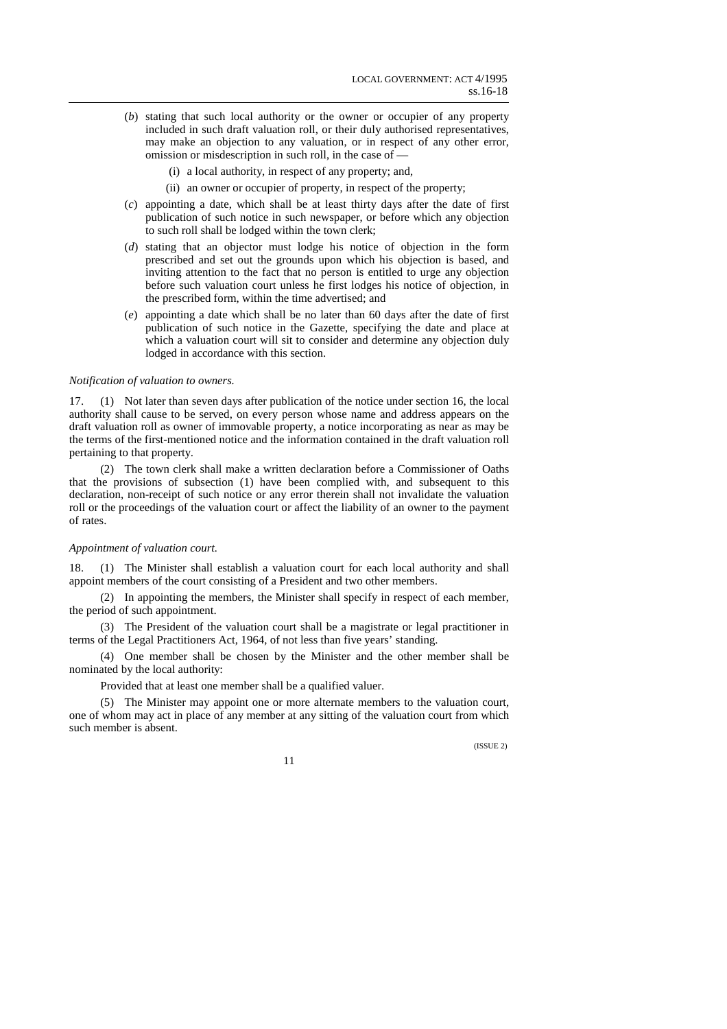- (*b*) stating that such local authority or the owner or occupier of any property included in such draft valuation roll, or their duly authorised representatives, may make an objection to any valuation, or in respect of any other error, omission or misdescription in such roll, in the case of —
	- (i) a local authority, in respect of any property; and,
	- (ii) an owner or occupier of property, in respect of the property;
- (*c*) appointing a date, which shall be at least thirty days after the date of first publication of such notice in such newspaper, or before which any objection to such roll shall be lodged within the town clerk;
- (*d*) stating that an objector must lodge his notice of objection in the form prescribed and set out the grounds upon which his objection is based, and inviting attention to the fact that no person is entitled to urge any objection before such valuation court unless he first lodges his notice of objection, in the prescribed form, within the time advertised; and
- (*e*) appointing a date which shall be no later than 60 days after the date of first publication of such notice in the Gazette, specifying the date and place at which a valuation court will sit to consider and determine any objection duly lodged in accordance with this section.

### *Notification of valuation to owners.*

17. (1) Not later than seven days after publication of the notice under section 16, the local authority shall cause to be served, on every person whose name and address appears on the draft valuation roll as owner of immovable property, a notice incorporating as near as may be the terms of the first-mentioned notice and the information contained in the draft valuation roll pertaining to that property.

(2) The town clerk shall make a written declaration before a Commissioner of Oaths that the provisions of subsection (1) have been complied with, and subsequent to this declaration, non-receipt of such notice or any error therein shall not invalidate the valuation roll or the proceedings of the valuation court or affect the liability of an owner to the payment of rates.

#### *Appointment of valuation court.*

18. (1) The Minister shall establish a valuation court for each local authority and shall appoint members of the court consisting of a President and two other members.

(2) In appointing the members, the Minister shall specify in respect of each member, the period of such appointment.

(3) The President of the valuation court shall be a magistrate or legal practitioner in terms of the Legal Practitioners Act, 1964, of not less than five years' standing.

(4) One member shall be chosen by the Minister and the other member shall be nominated by the local authority:

Provided that at least one member shall be a qualified valuer.

(5) The Minister may appoint one or more alternate members to the valuation court, one of whom may act in place of any member at any sitting of the valuation court from which such member is absent.

(ISSUE 2)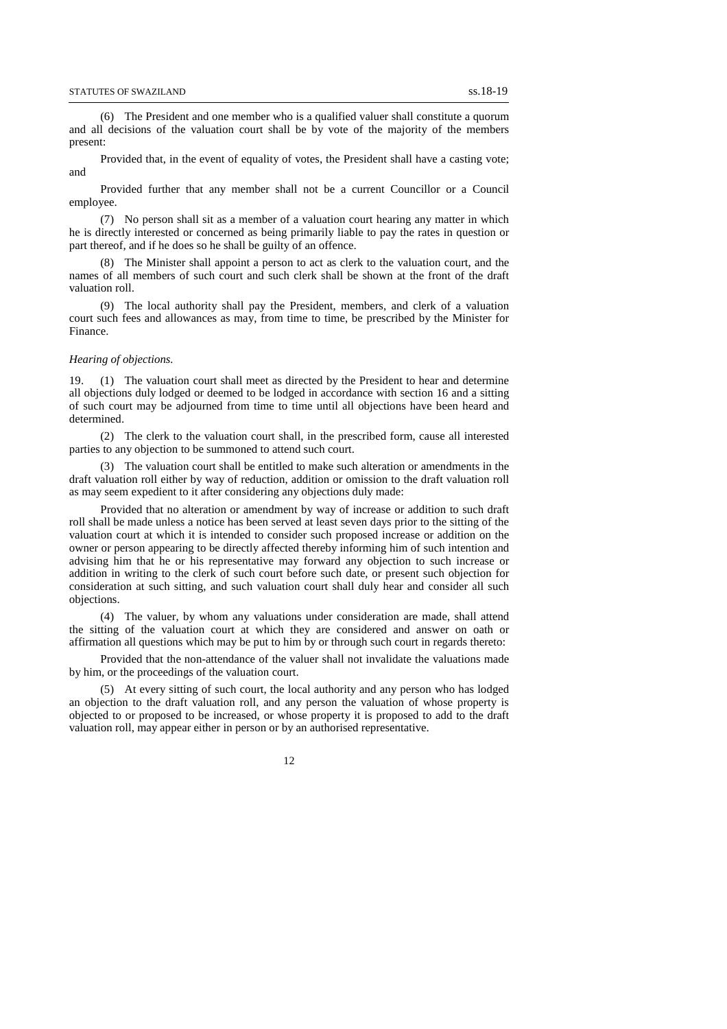(6) The President and one member who is a qualified valuer shall constitute a quorum and all decisions of the valuation court shall be by vote of the majority of the members present:

Provided that, in the event of equality of votes, the President shall have a casting vote; and

Provided further that any member shall not be a current Councillor or a Council employee.

(7) No person shall sit as a member of a valuation court hearing any matter in which he is directly interested or concerned as being primarily liable to pay the rates in question or part thereof, and if he does so he shall be guilty of an offence.

(8) The Minister shall appoint a person to act as clerk to the valuation court, and the names of all members of such court and such clerk shall be shown at the front of the draft valuation roll.

(9) The local authority shall pay the President, members, and clerk of a valuation court such fees and allowances as may, from time to time, be prescribed by the Minister for Finance.

### *Hearing of objections.*

19. (1) The valuation court shall meet as directed by the President to hear and determine all objections duly lodged or deemed to be lodged in accordance with section 16 and a sitting of such court may be adjourned from time to time until all objections have been heard and determined.

(2) The clerk to the valuation court shall, in the prescribed form, cause all interested parties to any objection to be summoned to attend such court.

(3) The valuation court shall be entitled to make such alteration or amendments in the draft valuation roll either by way of reduction, addition or omission to the draft valuation roll as may seem expedient to it after considering any objections duly made:

Provided that no alteration or amendment by way of increase or addition to such draft roll shall be made unless a notice has been served at least seven days prior to the sitting of the valuation court at which it is intended to consider such proposed increase or addition on the owner or person appearing to be directly affected thereby informing him of such intention and advising him that he or his representative may forward any objection to such increase or addition in writing to the clerk of such court before such date, or present such objection for consideration at such sitting, and such valuation court shall duly hear and consider all such objections.

(4) The valuer, by whom any valuations under consideration are made, shall attend the sitting of the valuation court at which they are considered and answer on oath or affirmation all questions which may be put to him by or through such court in regards thereto:

Provided that the non-attendance of the valuer shall not invalidate the valuations made by him, or the proceedings of the valuation court.

(5) At every sitting of such court, the local authority and any person who has lodged an objection to the draft valuation roll, and any person the valuation of whose property is objected to or proposed to be increased, or whose property it is proposed to add to the draft valuation roll, may appear either in person or by an authorised representative.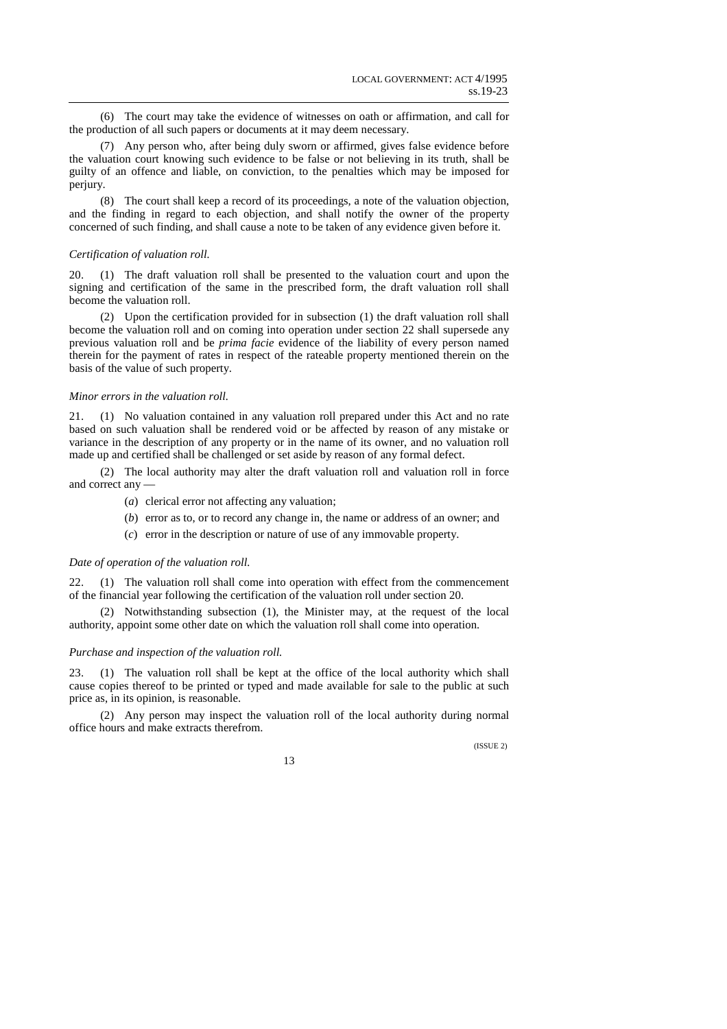(6) The court may take the evidence of witnesses on oath or affirmation, and call for the production of all such papers or documents at it may deem necessary.

(7) Any person who, after being duly sworn or affirmed, gives false evidence before the valuation court knowing such evidence to be false or not believing in its truth, shall be guilty of an offence and liable, on conviction, to the penalties which may be imposed for perjury.

(8) The court shall keep a record of its proceedings, a note of the valuation objection, and the finding in regard to each objection, and shall notify the owner of the property concerned of such finding, and shall cause a note to be taken of any evidence given before it.

### *Certification of valuation roll.*

20. (1) The draft valuation roll shall be presented to the valuation court and upon the signing and certification of the same in the prescribed form, the draft valuation roll shall become the valuation roll.

(2) Upon the certification provided for in subsection (1) the draft valuation roll shall become the valuation roll and on coming into operation under section 22 shall supersede any previous valuation roll and be *prima facie* evidence of the liability of every person named therein for the payment of rates in respect of the rateable property mentioned therein on the basis of the value of such property.

### *Minor errors in the valuation roll.*

21. (1) No valuation contained in any valuation roll prepared under this Act and no rate based on such valuation shall be rendered void or be affected by reason of any mistake or variance in the description of any property or in the name of its owner, and no valuation roll made up and certified shall be challenged or set aside by reason of any formal defect.

(2) The local authority may alter the draft valuation roll and valuation roll in force and correct any —

- (*a*) clerical error not affecting any valuation;
- (*b*) error as to, or to record any change in, the name or address of an owner; and
- (*c*) error in the description or nature of use of any immovable property.

### *Date of operation of the valuation roll.*

22. (1) The valuation roll shall come into operation with effect from the commencement of the financial year following the certification of the valuation roll under section 20.

(2) Notwithstanding subsection (1), the Minister may, at the request of the local authority, appoint some other date on which the valuation roll shall come into operation.

#### *Purchase and inspection of the valuation roll.*

23. (1) The valuation roll shall be kept at the office of the local authority which shall cause copies thereof to be printed or typed and made available for sale to the public at such price as, in its opinion, is reasonable.

(2) Any person may inspect the valuation roll of the local authority during normal office hours and make extracts therefrom.

(ISSUE 2)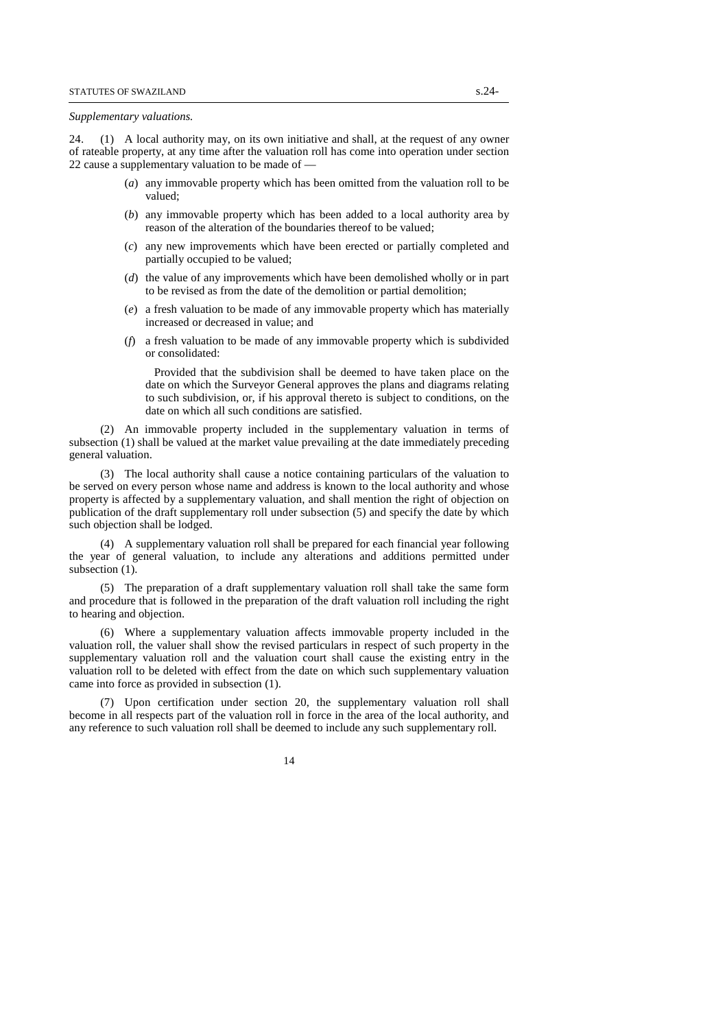#### *Supplementary valuations.*

24. (1) A local authority may, on its own initiative and shall, at the request of any owner of rateable property, at any time after the valuation roll has come into operation under section 22 cause a supplementary valuation to be made of —

- (*a*) any immovable property which has been omitted from the valuation roll to be valued;
- (*b*) any immovable property which has been added to a local authority area by reason of the alteration of the boundaries thereof to be valued;
- (*c*) any new improvements which have been erected or partially completed and partially occupied to be valued;
- (*d*) the value of any improvements which have been demolished wholly or in part to be revised as from the date of the demolition or partial demolition;
- (*e*) a fresh valuation to be made of any immovable property which has materially increased or decreased in value; and
- (*f*) a fresh valuation to be made of any immovable property which is subdivided or consolidated:

 Provided that the subdivision shall be deemed to have taken place on the date on which the Surveyor General approves the plans and diagrams relating to such subdivision, or, if his approval thereto is subject to conditions, on the date on which all such conditions are satisfied.

(2) An immovable property included in the supplementary valuation in terms of subsection (1) shall be valued at the market value prevailing at the date immediately preceding general valuation.

(3) The local authority shall cause a notice containing particulars of the valuation to be served on every person whose name and address is known to the local authority and whose property is affected by a supplementary valuation, and shall mention the right of objection on publication of the draft supplementary roll under subsection (5) and specify the date by which such objection shall be lodged.

(4) A supplementary valuation roll shall be prepared for each financial year following the year of general valuation, to include any alterations and additions permitted under subsection  $(1)$ .

(5) The preparation of a draft supplementary valuation roll shall take the same form and procedure that is followed in the preparation of the draft valuation roll including the right to hearing and objection.

(6) Where a supplementary valuation affects immovable property included in the valuation roll, the valuer shall show the revised particulars in respect of such property in the supplementary valuation roll and the valuation court shall cause the existing entry in the valuation roll to be deleted with effect from the date on which such supplementary valuation came into force as provided in subsection (1).

(7) Upon certification under section 20, the supplementary valuation roll shall become in all respects part of the valuation roll in force in the area of the local authority, and any reference to such valuation roll shall be deemed to include any such supplementary roll.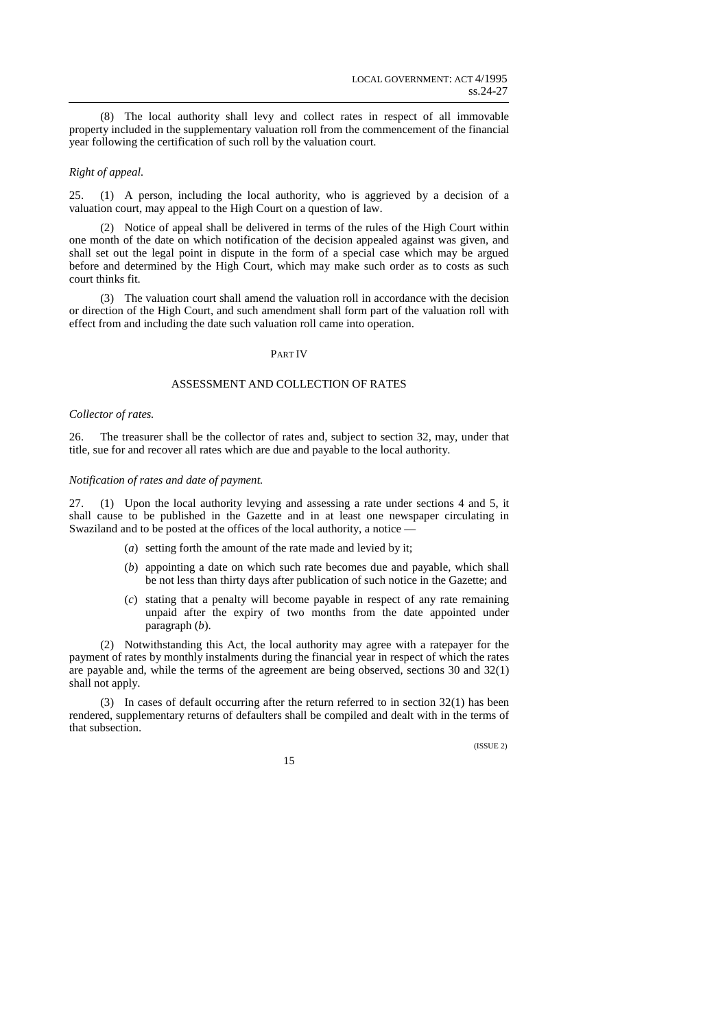(8) The local authority shall levy and collect rates in respect of all immovable property included in the supplementary valuation roll from the commencement of the financial year following the certification of such roll by the valuation court.

## *Right of appeal.*

25. (1) A person, including the local authority, who is aggrieved by a decision of a valuation court, may appeal to the High Court on a question of law.

(2) Notice of appeal shall be delivered in terms of the rules of the High Court within one month of the date on which notification of the decision appealed against was given, and shall set out the legal point in dispute in the form of a special case which may be argued before and determined by the High Court, which may make such order as to costs as such court thinks fit.

(3) The valuation court shall amend the valuation roll in accordance with the decision or direction of the High Court, and such amendment shall form part of the valuation roll with effect from and including the date such valuation roll came into operation.

## PART IV

## ASSESSMENT AND COLLECTION OF RATES

### *Collector of rates.*

26. The treasurer shall be the collector of rates and, subject to section 32, may, under that title, sue for and recover all rates which are due and payable to the local authority.

#### *Notification of rates and date of payment.*

27. (1) Upon the local authority levying and assessing a rate under sections 4 and 5, it shall cause to be published in the Gazette and in at least one newspaper circulating in Swaziland and to be posted at the offices of the local authority, a notice —

- (*a*) setting forth the amount of the rate made and levied by it;
- (*b*) appointing a date on which such rate becomes due and payable, which shall be not less than thirty days after publication of such notice in the Gazette; and
- (*c*) stating that a penalty will become payable in respect of any rate remaining unpaid after the expiry of two months from the date appointed under paragraph (*b*).

(2) Notwithstanding this Act, the local authority may agree with a ratepayer for the payment of rates by monthly instalments during the financial year in respect of which the rates are payable and, while the terms of the agreement are being observed, sections 30 and 32(1) shall not apply.

(3) In cases of default occurring after the return referred to in section  $32(1)$  has been rendered, supplementary returns of defaulters shall be compiled and dealt with in the terms of that subsection.

(ISSUE 2)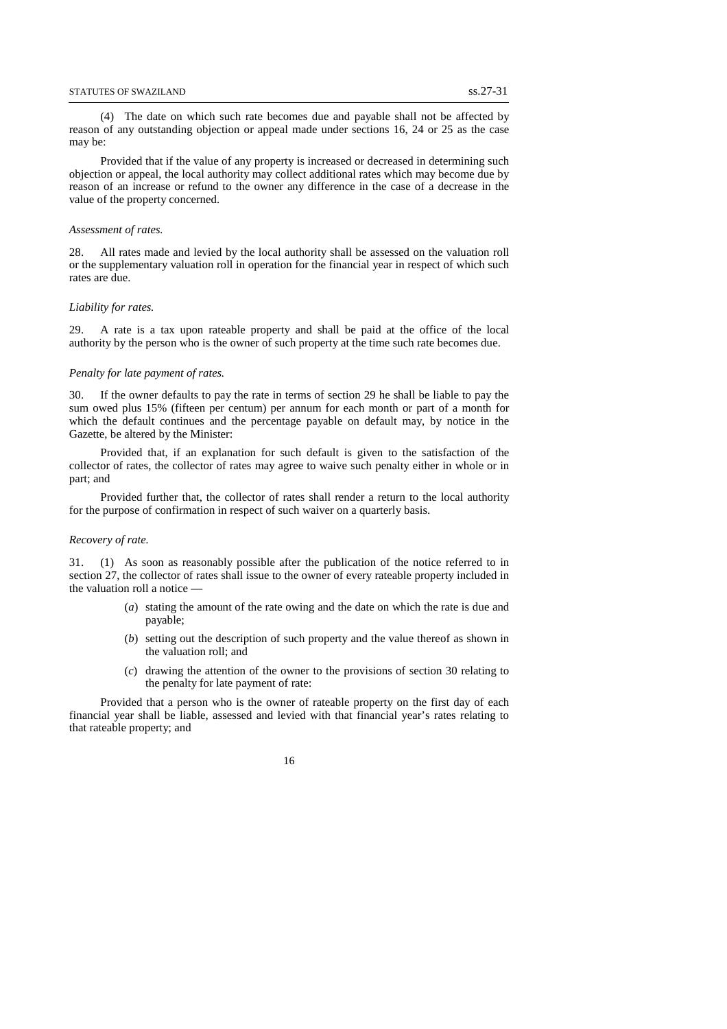(4) The date on which such rate becomes due and payable shall not be affected by reason of any outstanding objection or appeal made under sections 16, 24 or 25 as the case may be:

Provided that if the value of any property is increased or decreased in determining such objection or appeal, the local authority may collect additional rates which may become due by reason of an increase or refund to the owner any difference in the case of a decrease in the value of the property concerned.

#### *Assessment of rates.*

28. All rates made and levied by the local authority shall be assessed on the valuation roll or the supplementary valuation roll in operation for the financial year in respect of which such rates are due.

#### *Liability for rates.*

29. A rate is a tax upon rateable property and shall be paid at the office of the local authority by the person who is the owner of such property at the time such rate becomes due.

#### *Penalty for late payment of rates.*

30. If the owner defaults to pay the rate in terms of section 29 he shall be liable to pay the sum owed plus 15% (fifteen per centum) per annum for each month or part of a month for which the default continues and the percentage payable on default may, by notice in the Gazette, be altered by the Minister:

Provided that, if an explanation for such default is given to the satisfaction of the collector of rates, the collector of rates may agree to waive such penalty either in whole or in part; and

Provided further that, the collector of rates shall render a return to the local authority for the purpose of confirmation in respect of such waiver on a quarterly basis.

#### *Recovery of rate.*

31. (1) As soon as reasonably possible after the publication of the notice referred to in section 27, the collector of rates shall issue to the owner of every rateable property included in the valuation roll a notice -

- (*a*) stating the amount of the rate owing and the date on which the rate is due and payable;
- (*b*) setting out the description of such property and the value thereof as shown in the valuation roll; and
- (*c*) drawing the attention of the owner to the provisions of section 30 relating to the penalty for late payment of rate:

Provided that a person who is the owner of rateable property on the first day of each financial year shall be liable, assessed and levied with that financial year's rates relating to that rateable property; and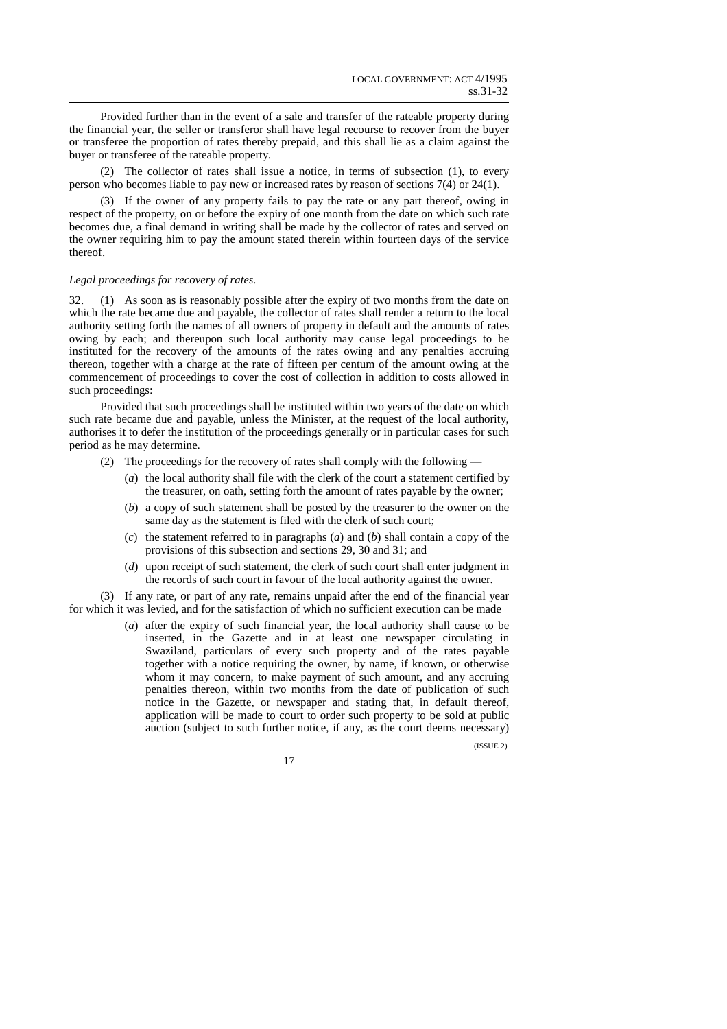Provided further than in the event of a sale and transfer of the rateable property during the financial year, the seller or transferor shall have legal recourse to recover from the buyer or transferee the proportion of rates thereby prepaid, and this shall lie as a claim against the buyer or transferee of the rateable property.

(2) The collector of rates shall issue a notice, in terms of subsection (1), to every person who becomes liable to pay new or increased rates by reason of sections 7(4) or 24(1).

(3) If the owner of any property fails to pay the rate or any part thereof, owing in respect of the property, on or before the expiry of one month from the date on which such rate becomes due, a final demand in writing shall be made by the collector of rates and served on the owner requiring him to pay the amount stated therein within fourteen days of the service thereof.

### *Legal proceedings for recovery of rates.*

32. (1) As soon as is reasonably possible after the expiry of two months from the date on which the rate became due and payable, the collector of rates shall render a return to the local authority setting forth the names of all owners of property in default and the amounts of rates owing by each; and thereupon such local authority may cause legal proceedings to be instituted for the recovery of the amounts of the rates owing and any penalties accruing thereon, together with a charge at the rate of fifteen per centum of the amount owing at the commencement of proceedings to cover the cost of collection in addition to costs allowed in such proceedings:

Provided that such proceedings shall be instituted within two years of the date on which such rate became due and payable, unless the Minister, at the request of the local authority, authorises it to defer the institution of the proceedings generally or in particular cases for such period as he may determine.

- (2) The proceedings for the recovery of rates shall comply with the following
	- (*a*) the local authority shall file with the clerk of the court a statement certified by the treasurer, on oath, setting forth the amount of rates payable by the owner;
	- (*b*) a copy of such statement shall be posted by the treasurer to the owner on the same day as the statement is filed with the clerk of such court;
	- (*c*) the statement referred to in paragraphs (*a*) and (*b*) shall contain a copy of the provisions of this subsection and sections 29, 30 and 31; and
	- (*d*) upon receipt of such statement, the clerk of such court shall enter judgment in the records of such court in favour of the local authority against the owner.

(3) If any rate, or part of any rate, remains unpaid after the end of the financial year for which it was levied, and for the satisfaction of which no sufficient execution can be made

> (*a*) after the expiry of such financial year, the local authority shall cause to be inserted, in the Gazette and in at least one newspaper circulating in Swaziland, particulars of every such property and of the rates payable together with a notice requiring the owner, by name, if known, or otherwise whom it may concern, to make payment of such amount, and any accruing penalties thereon, within two months from the date of publication of such notice in the Gazette, or newspaper and stating that, in default thereof, application will be made to court to order such property to be sold at public auction (subject to such further notice, if any, as the court deems necessary)

> > (ISSUE 2)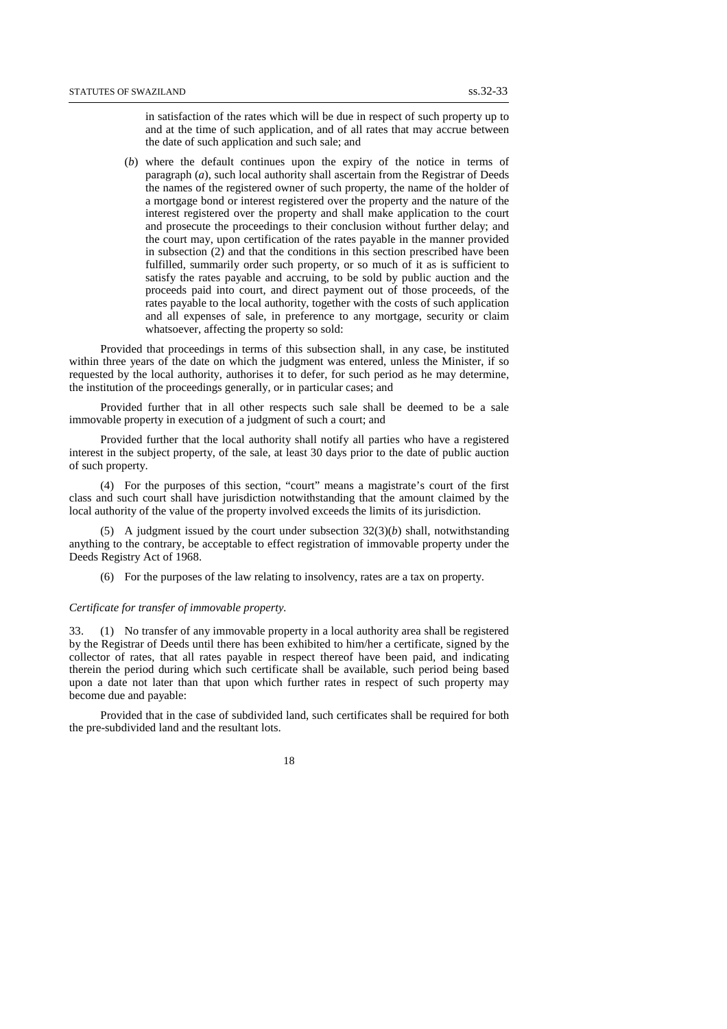in satisfaction of the rates which will be due in respect of such property up to and at the time of such application, and of all rates that may accrue between the date of such application and such sale; and

(*b*) where the default continues upon the expiry of the notice in terms of paragraph (*a*), such local authority shall ascertain from the Registrar of Deeds the names of the registered owner of such property, the name of the holder of a mortgage bond or interest registered over the property and the nature of the interest registered over the property and shall make application to the court and prosecute the proceedings to their conclusion without further delay; and the court may, upon certification of the rates payable in the manner provided in subsection (2) and that the conditions in this section prescribed have been fulfilled, summarily order such property, or so much of it as is sufficient to satisfy the rates payable and accruing, to be sold by public auction and the proceeds paid into court, and direct payment out of those proceeds, of the rates payable to the local authority, together with the costs of such application and all expenses of sale, in preference to any mortgage, security or claim whatsoever, affecting the property so sold:

Provided that proceedings in terms of this subsection shall, in any case, be instituted within three years of the date on which the judgment was entered, unless the Minister, if so requested by the local authority, authorises it to defer, for such period as he may determine, the institution of the proceedings generally, or in particular cases; and

Provided further that in all other respects such sale shall be deemed to be a sale immovable property in execution of a judgment of such a court; and

Provided further that the local authority shall notify all parties who have a registered interest in the subject property, of the sale, at least 30 days prior to the date of public auction of such property.

(4) For the purposes of this section, "court" means a magistrate's court of the first class and such court shall have jurisdiction notwithstanding that the amount claimed by the local authority of the value of the property involved exceeds the limits of its jurisdiction.

(5) A judgment issued by the court under subsection  $32(3)(b)$  shall, notwithstanding anything to the contrary, be acceptable to effect registration of immovable property under the Deeds Registry Act of 1968.

(6) For the purposes of the law relating to insolvency, rates are a tax on property.

### *Certificate for transfer of immovable property.*

33. (1) No transfer of any immovable property in a local authority area shall be registered by the Registrar of Deeds until there has been exhibited to him/her a certificate, signed by the collector of rates, that all rates payable in respect thereof have been paid, and indicating therein the period during which such certificate shall be available, such period being based upon a date not later than that upon which further rates in respect of such property may become due and payable:

Provided that in the case of subdivided land, such certificates shall be required for both the pre-subdivided land and the resultant lots.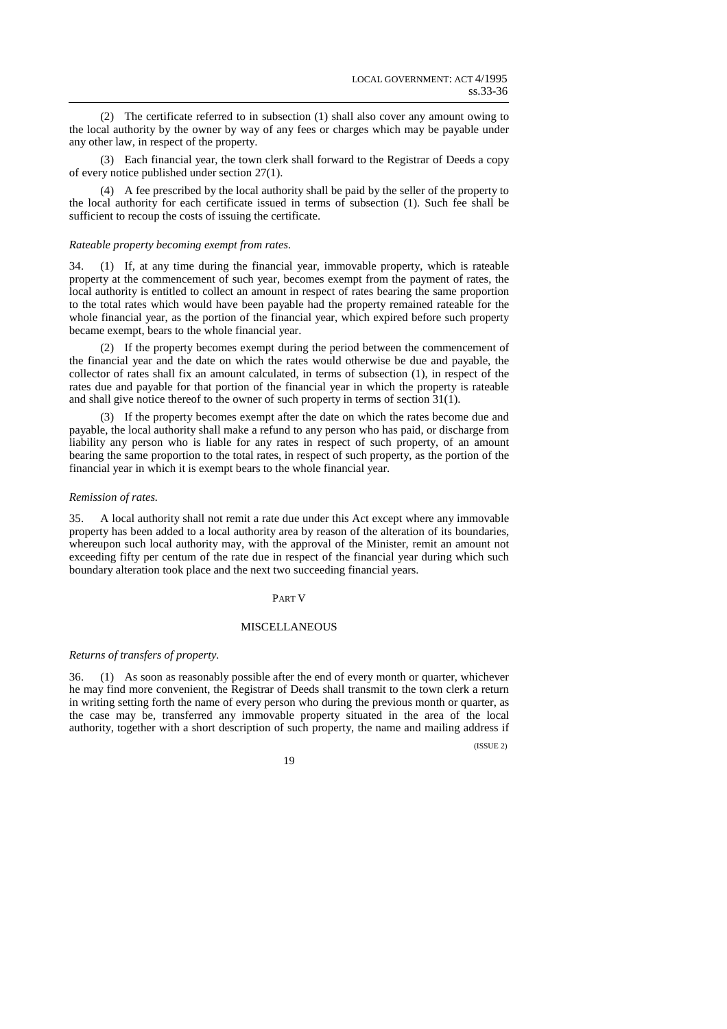(2) The certificate referred to in subsection (1) shall also cover any amount owing to the local authority by the owner by way of any fees or charges which may be payable under any other law, in respect of the property.

(3) Each financial year, the town clerk shall forward to the Registrar of Deeds a copy of every notice published under section 27(1).

(4) A fee prescribed by the local authority shall be paid by the seller of the property to the local authority for each certificate issued in terms of subsection (1). Such fee shall be sufficient to recoup the costs of issuing the certificate.

#### *Rateable property becoming exempt from rates.*

34. (1) If, at any time during the financial year, immovable property, which is rateable property at the commencement of such year, becomes exempt from the payment of rates, the local authority is entitled to collect an amount in respect of rates bearing the same proportion to the total rates which would have been payable had the property remained rateable for the whole financial year, as the portion of the financial year, which expired before such property became exempt, bears to the whole financial year.

(2) If the property becomes exempt during the period between the commencement of the financial year and the date on which the rates would otherwise be due and payable, the collector of rates shall fix an amount calculated, in terms of subsection (1), in respect of the rates due and payable for that portion of the financial year in which the property is rateable and shall give notice thereof to the owner of such property in terms of section 31(1).

(3) If the property becomes exempt after the date on which the rates become due and payable, the local authority shall make a refund to any person who has paid, or discharge from liability any person who is liable for any rates in respect of such property, of an amount bearing the same proportion to the total rates, in respect of such property, as the portion of the financial year in which it is exempt bears to the whole financial year.

#### *Remission of rates.*

35. A local authority shall not remit a rate due under this Act except where any immovable property has been added to a local authority area by reason of the alteration of its boundaries, whereupon such local authority may, with the approval of the Minister, remit an amount not exceeding fifty per centum of the rate due in respect of the financial year during which such boundary alteration took place and the next two succeeding financial years.

### PART V

### MISCELLANEOUS

### *Returns of transfers of property.*

36. (1) As soon as reasonably possible after the end of every month or quarter, whichever he may find more convenient, the Registrar of Deeds shall transmit to the town clerk a return in writing setting forth the name of every person who during the previous month or quarter, as the case may be, transferred any immovable property situated in the area of the local authority, together with a short description of such property, the name and mailing address if

(ISSUE 2)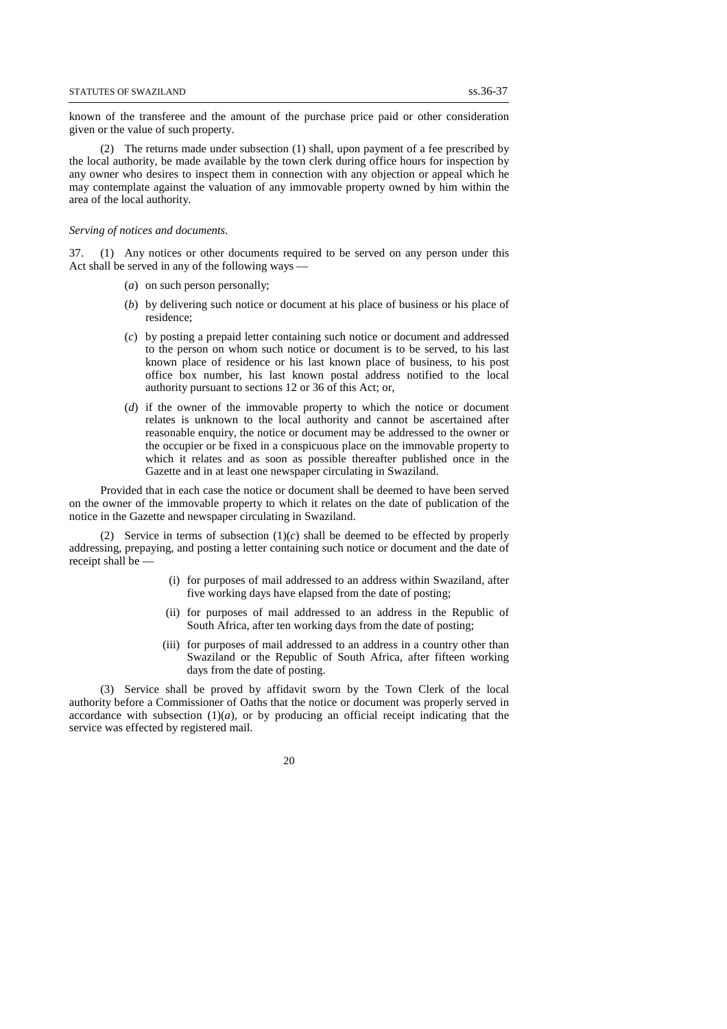known of the transferee and the amount of the purchase price paid or other consideration given or the value of such property.

(2) The returns made under subsection (1) shall, upon payment of a fee prescribed by the local authority, be made available by the town clerk during office hours for inspection by any owner who desires to inspect them in connection with any objection or appeal which he may contemplate against the valuation of any immovable property owned by him within the area of the local authority.

#### *Serving of notices and documents.*

37. (1) Any notices or other documents required to be served on any person under this Act shall be served in any of the following ways —

- (*a*) on such person personally;
- (*b*) by delivering such notice or document at his place of business or his place of residence;
- (*c*) by posting a prepaid letter containing such notice or document and addressed to the person on whom such notice or document is to be served, to his last known place of residence or his last known place of business, to his post office box number, his last known postal address notified to the local authority pursuant to sections 12 or 36 of this Act; or,
- (*d*) if the owner of the immovable property to which the notice or document relates is unknown to the local authority and cannot be ascertained after reasonable enquiry, the notice or document may be addressed to the owner or the occupier or be fixed in a conspicuous place on the immovable property to which it relates and as soon as possible thereafter published once in the Gazette and in at least one newspaper circulating in Swaziland.

Provided that in each case the notice or document shall be deemed to have been served on the owner of the immovable property to which it relates on the date of publication of the notice in the Gazette and newspaper circulating in Swaziland.

(2) Service in terms of subsection (1)(*c*) shall be deemed to be effected by properly addressing, prepaying, and posting a letter containing such notice or document and the date of receipt shall be —

- (i) for purposes of mail addressed to an address within Swaziland, after five working days have elapsed from the date of posting;
- (ii) for purposes of mail addressed to an address in the Republic of South Africa, after ten working days from the date of posting;
- (iii) for purposes of mail addressed to an address in a country other than Swaziland or the Republic of South Africa, after fifteen working days from the date of posting.

(3) Service shall be proved by affidavit sworn by the Town Clerk of the local authority before a Commissioner of Oaths that the notice or document was properly served in accordance with subsection  $(1)(a)$ , or by producing an official receipt indicating that the service was effected by registered mail.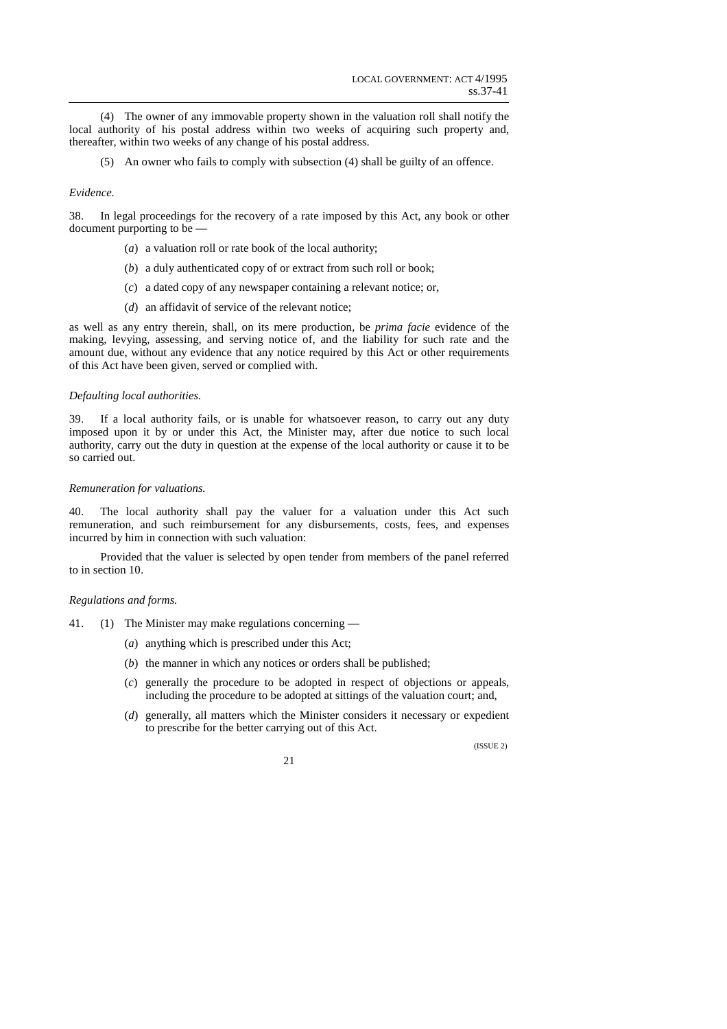(4) The owner of any immovable property shown in the valuation roll shall notify the local authority of his postal address within two weeks of acquiring such property and, thereafter, within two weeks of any change of his postal address.

(5) An owner who fails to comply with subsection (4) shall be guilty of an offence.

### *Evidence.*

38. In legal proceedings for the recovery of a rate imposed by this Act, any book or other document purporting to be —

- (*a*) a valuation roll or rate book of the local authority;
- (*b*) a duly authenticated copy of or extract from such roll or book;
- (*c*) a dated copy of any newspaper containing a relevant notice; or,
- (*d*) an affidavit of service of the relevant notice;

as well as any entry therein, shall, on its mere production, be *prima facie* evidence of the making, levying, assessing, and serving notice of, and the liability for such rate and the amount due, without any evidence that any notice required by this Act or other requirements of this Act have been given, served or complied with.

### *Defaulting local authorities.*

39. If a local authority fails, or is unable for whatsoever reason, to carry out any duty imposed upon it by or under this Act, the Minister may, after due notice to such local authority, carry out the duty in question at the expense of the local authority or cause it to be so carried out.

## *Remuneration for valuations.*

40. The local authority shall pay the valuer for a valuation under this Act such remuneration, and such reimbursement for any disbursements, costs, fees, and expenses incurred by him in connection with such valuation:

Provided that the valuer is selected by open tender from members of the panel referred to in section 10.

### *Regulations and forms.*

- 41. (1) The Minister may make regulations concerning
	- (*a*) anything which is prescribed under this Act;
	- (*b*) the manner in which any notices or orders shall be published;
	- (*c*) generally the procedure to be adopted in respect of objections or appeals, including the procedure to be adopted at sittings of the valuation court; and,
	- (*d*) generally, all matters which the Minister considers it necessary or expedient to prescribe for the better carrying out of this Act.

 $($ ISSUE 2)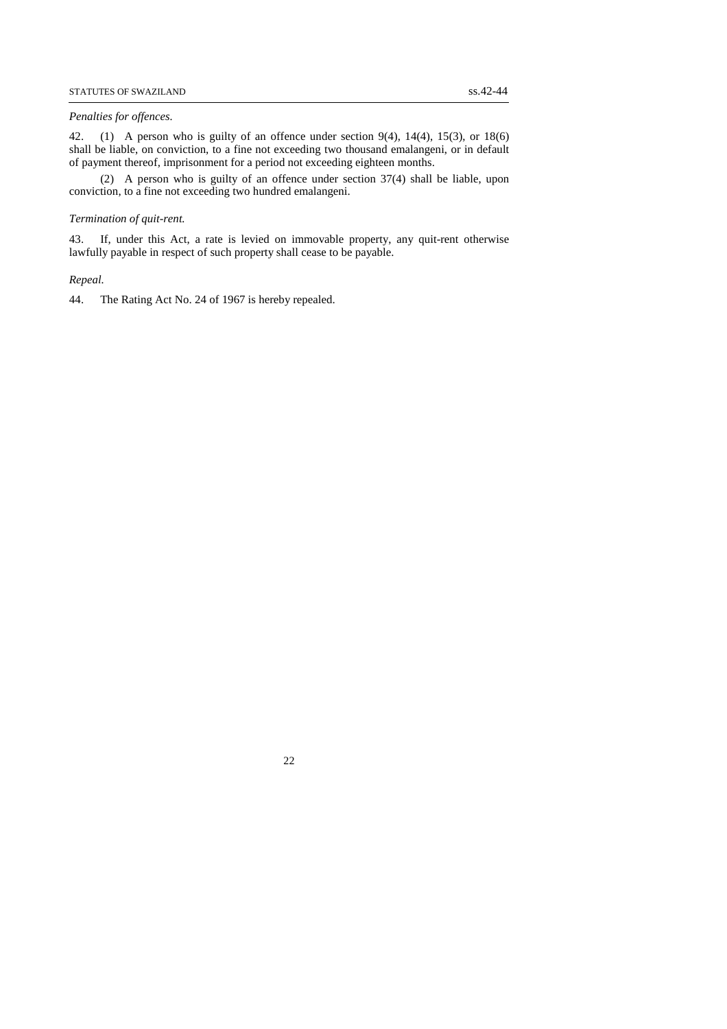#### *Penalties for offences.*

42. (1) A person who is guilty of an offence under section 9(4), 14(4), 15(3), or 18(6) shall be liable, on conviction, to a fine not exceeding two thousand emalangeni, or in default of payment thereof, imprisonment for a period not exceeding eighteen months.

(2) A person who is guilty of an offence under section 37(4) shall be liable, upon conviction, to a fine not exceeding two hundred emalangeni.

### *Termination of quit-rent.*

43. If, under this Act, a rate is levied on immovable property, any quit-rent otherwise lawfully payable in respect of such property shall cease to be payable.

*Repeal.* 

44. The Rating Act No. 24 of 1967 is hereby repealed.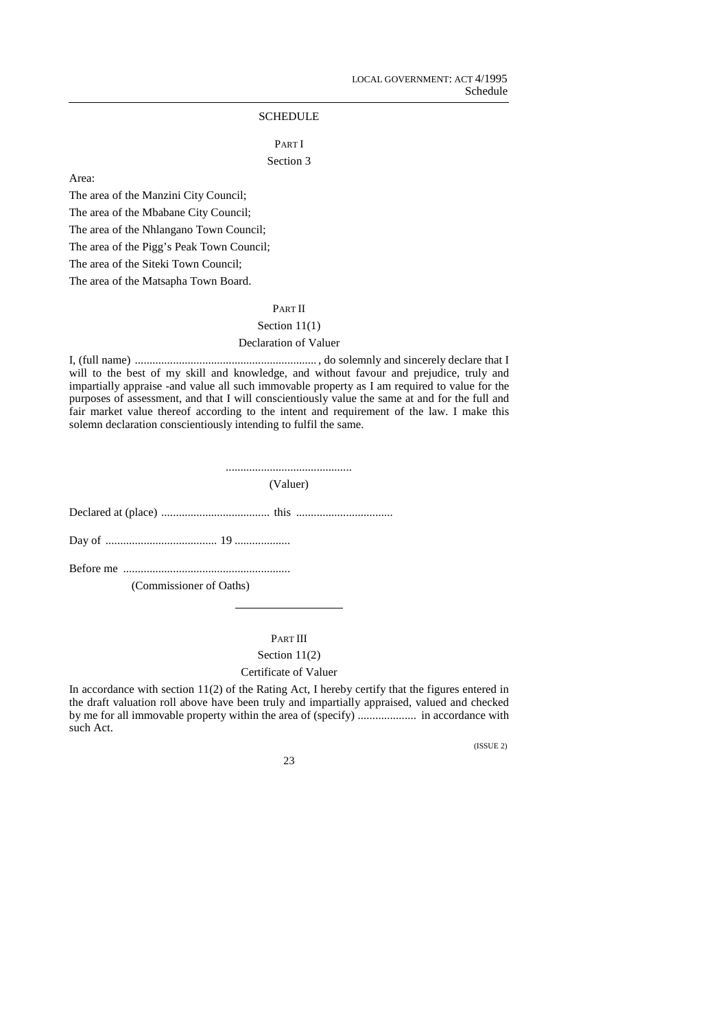# **SCHEDULE**

# PART I Section 3

Area:

The area of the Manzini City Council; The area of the Mbabane City Council;

The area of the Nhlangano Town Council;

The area of the Pigg's Peak Town Council;

The area of the Siteki Town Council;

The area of the Matsapha Town Board.

# PART II

# Section 11(1)

# Declaration of Valuer

I, (full name) .............................................................. , do solemnly and sincerely declare that I will to the best of my skill and knowledge, and without favour and prejudice, truly and impartially appraise -and value all such immovable property as I am required to value for the purposes of assessment, and that I will conscientiously value the same at and for the full and fair market value thereof according to the intent and requirement of the law. I make this solemn declaration conscientiously intending to fulfil the same.

...........................................

(Valuer)

Declared at (place) ..................................... this .................................

Day of ...................................... 19 ...................

Before me .........................................................

(Commissioner of Oaths)

PART III

# Section 11(2)

# Certificate of Valuer

In accordance with section 11(2) of the Rating Act, I hereby certify that the figures entered in the draft valuation roll above have been truly and impartially appraised, valued and checked by me for all immovable property within the area of (specify) .................... in accordance with such Act.

(ISSUE 2)